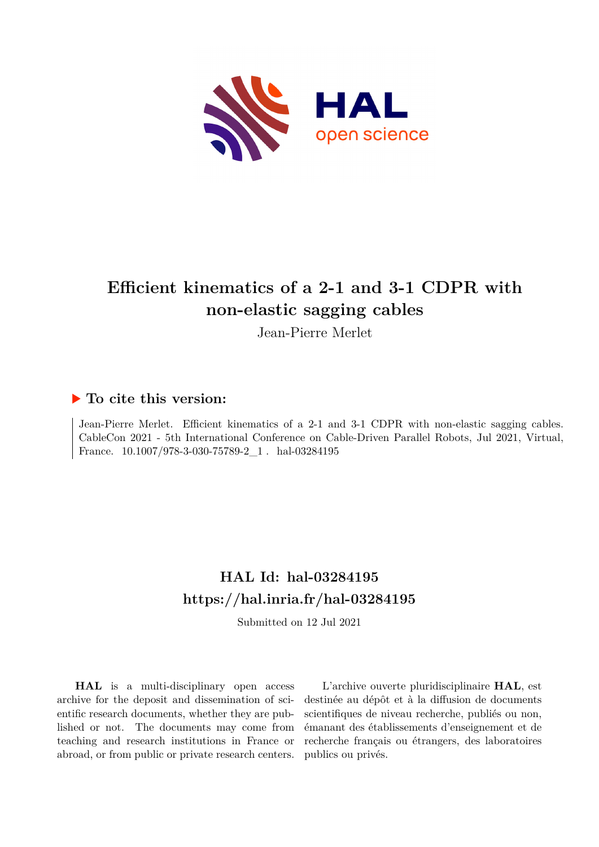

# **Efficient kinematics of a 2-1 and 3-1 CDPR with non-elastic sagging cables**

Jean-Pierre Merlet

# **To cite this version:**

Jean-Pierre Merlet. Efficient kinematics of a 2-1 and 3-1 CDPR with non-elastic sagging cables. CableCon 2021 - 5th International Conference on Cable-Driven Parallel Robots, Jul 2021, Virtual, France.  $10.1007/978-3-030-75789-2\_1$ . hal-03284195

# **HAL Id: hal-03284195 <https://hal.inria.fr/hal-03284195>**

Submitted on 12 Jul 2021

**HAL** is a multi-disciplinary open access archive for the deposit and dissemination of scientific research documents, whether they are published or not. The documents may come from teaching and research institutions in France or abroad, or from public or private research centers.

L'archive ouverte pluridisciplinaire **HAL**, est destinée au dépôt et à la diffusion de documents scientifiques de niveau recherche, publiés ou non, émanant des établissements d'enseignement et de recherche français ou étrangers, des laboratoires publics ou privés.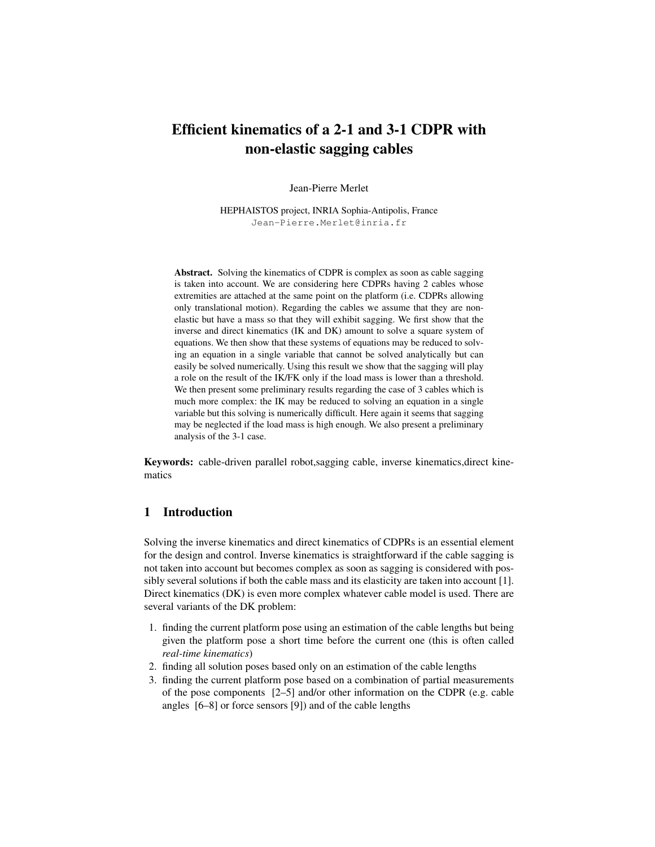# Efficient kinematics of a 2-1 and 3-1 CDPR with non-elastic sagging cables

Jean-Pierre Merlet

HEPHAISTOS project, INRIA Sophia-Antipolis, France Jean-Pierre.Merlet@inria.fr

Abstract. Solving the kinematics of CDPR is complex as soon as cable sagging is taken into account. We are considering here CDPRs having 2 cables whose extremities are attached at the same point on the platform (i.e. CDPRs allowing only translational motion). Regarding the cables we assume that they are nonelastic but have a mass so that they will exhibit sagging. We first show that the inverse and direct kinematics (IK and DK) amount to solve a square system of equations. We then show that these systems of equations may be reduced to solving an equation in a single variable that cannot be solved analytically but can easily be solved numerically. Using this result we show that the sagging will play a role on the result of the IK/FK only if the load mass is lower than a threshold. We then present some preliminary results regarding the case of 3 cables which is much more complex: the IK may be reduced to solving an equation in a single variable but this solving is numerically difficult. Here again it seems that sagging may be neglected if the load mass is high enough. We also present a preliminary analysis of the 3-1 case.

Keywords: cable-driven parallel robot,sagging cable, inverse kinematics,direct kinematics

# 1 Introduction

Solving the inverse kinematics and direct kinematics of CDPRs is an essential element for the design and control. Inverse kinematics is straightforward if the cable sagging is not taken into account but becomes complex as soon as sagging is considered with possibly several solutions if both the cable mass and its elasticity are taken into account [1]. Direct kinematics (DK) is even more complex whatever cable model is used. There are several variants of the DK problem:

- 1. finding the current platform pose using an estimation of the cable lengths but being given the platform pose a short time before the current one (this is often called *real-time kinematics*)
- 2. finding all solution poses based only on an estimation of the cable lengths
- 3. finding the current platform pose based on a combination of partial measurements of the pose components [2–5] and/or other information on the CDPR (e.g. cable angles [6–8] or force sensors [9]) and of the cable lengths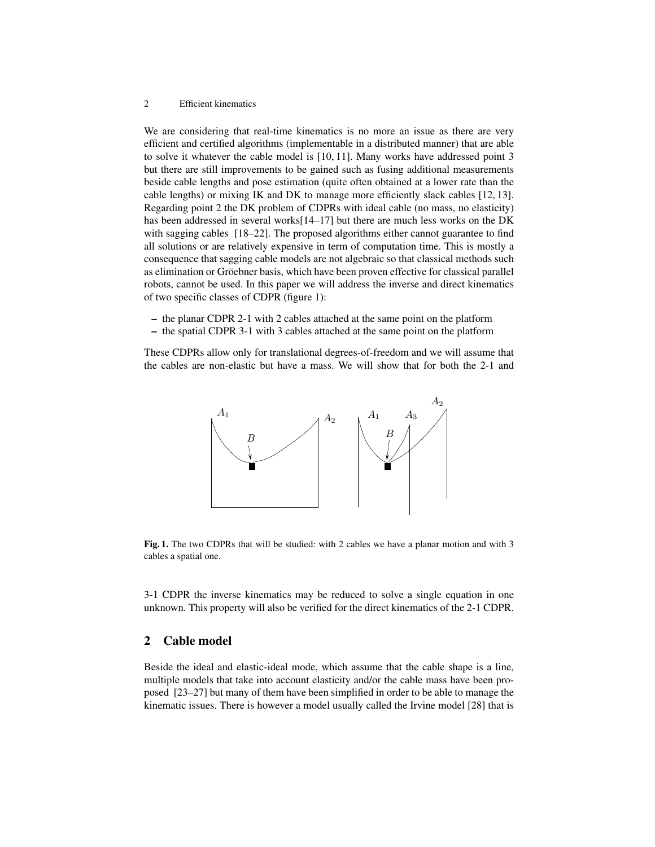#### 2 Efficient kinematics

We are considering that real-time kinematics is no more an issue as there are very efficient and certified algorithms (implementable in a distributed manner) that are able to solve it whatever the cable model is [10, 11]. Many works have addressed point 3 but there are still improvements to be gained such as fusing additional measurements beside cable lengths and pose estimation (quite often obtained at a lower rate than the cable lengths) or mixing IK and DK to manage more efficiently slack cables [12, 13]. Regarding point 2 the DK problem of CDPRs with ideal cable (no mass, no elasticity) has been addressed in several works[14–17] but there are much less works on the DK with sagging cables [18–22]. The proposed algorithms either cannot guarantee to find all solutions or are relatively expensive in term of computation time. This is mostly a consequence that sagging cable models are not algebraic so that classical methods such as elimination or Gröebner basis, which have been proven effective for classical parallel robots, cannot be used. In this paper we will address the inverse and direct kinematics of two specific classes of CDPR (figure 1):

- the planar CDPR 2-1 with 2 cables attached at the same point on the platform
- the spatial CDPR 3-1 with 3 cables attached at the same point on the platform

These CDPRs allow only for translational degrees-of-freedom and we will assume that the cables are non-elastic but have a mass. We will show that for both the 2-1 and



Fig. 1. The two CDPRs that will be studied: with 2 cables we have a planar motion and with 3 cables a spatial one.

3-1 CDPR the inverse kinematics may be reduced to solve a single equation in one unknown. This property will also be verified for the direct kinematics of the 2-1 CDPR.

## 2 Cable model

Beside the ideal and elastic-ideal mode, which assume that the cable shape is a line, multiple models that take into account elasticity and/or the cable mass have been proposed [23–27] but many of them have been simplified in order to be able to manage the kinematic issues. There is however a model usually called the Irvine model [28] that is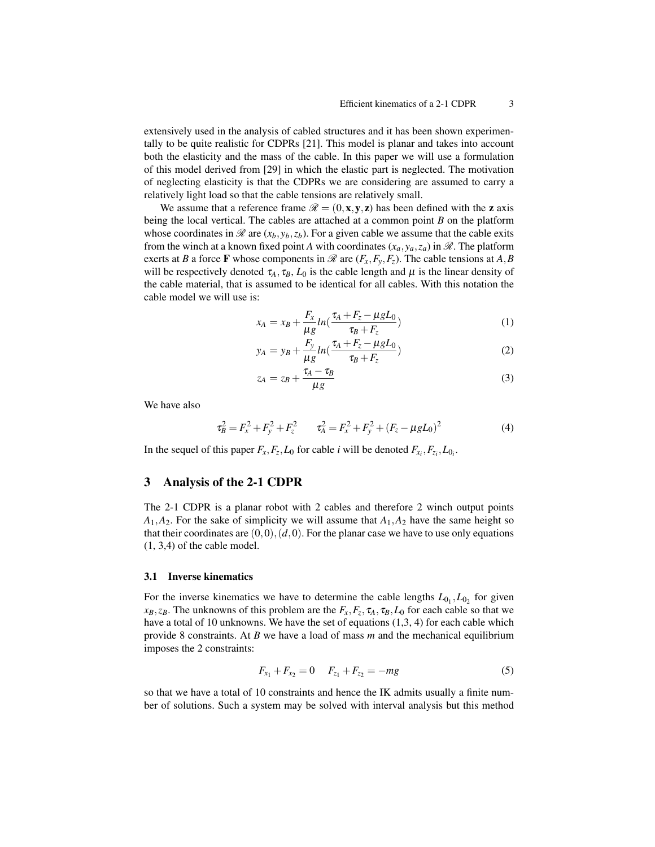extensively used in the analysis of cabled structures and it has been shown experimentally to be quite realistic for CDPRs [21]. This model is planar and takes into account both the elasticity and the mass of the cable. In this paper we will use a formulation of this model derived from [29] in which the elastic part is neglected. The motivation of neglecting elasticity is that the CDPRs we are considering are assumed to carry a relatively light load so that the cable tensions are relatively small.

We assume that a reference frame  $\mathcal{R} = (0, \mathbf{x}, \mathbf{v}, \mathbf{z})$  has been defined with the **z** axis being the local vertical. The cables are attached at a common point *B* on the platform whose coordinates in  $\mathcal{R}$  are  $(x_b, y_b, z_b)$ . For a given cable we assume that the cable exits from the winch at a known fixed point *A* with coordinates  $(x_a, y_a, z_a)$  in  $\mathcal{R}$ . The platform exerts at *B* a force **F** whose components in  $\mathcal{R}$  are  $(F_x, F_y, F_z)$ . The cable tensions at *A*, *B* will be respectively denoted  $\tau_A$ ,  $\tau_B$ ,  $L_0$  is the cable length and  $\mu$  is the linear density of the cable material, that is assumed to be identical for all cables. With this notation the cable model we will use is:

$$
x_A = x_B + \frac{F_x}{\mu g} ln(\frac{\tau_A + F_z - \mu g L_0}{\tau_B + F_z})
$$
\n(1)

$$
y_A = y_B + \frac{F_y}{\mu g} ln(\frac{\tau_A + F_z - \mu g L_0}{\tau_B + F_z})
$$
\n(2)

$$
z_A = z_B + \frac{\tau_A - \tau_B}{\mu g} \tag{3}
$$

We have also

$$
\tau_B^2 = F_x^2 + F_y^2 + F_z^2 \qquad \tau_A^2 = F_x^2 + F_y^2 + (F_z - \mu g L_0)^2 \tag{4}
$$

In the sequel of this paper  $F_x, F_z, L_0$  for cable *i* will be denoted  $F_{x_i}, F_{z_i}, L_{0_i}$ .

## 3 Analysis of the 2-1 CDPR

The 2-1 CDPR is a planar robot with 2 cables and therefore 2 winch output points  $A_1, A_2$ . For the sake of simplicity we will assume that  $A_1, A_2$  have the same height so that their coordinates are  $(0,0), (d,0)$ . For the planar case we have to use only equations (1, 3,4) of the cable model.

#### 3.1 Inverse kinematics

For the inverse kinematics we have to determine the cable lengths  $L_{0_1}, L_{0_2}$  for given *xB*,*zB*. The unknowns of this problem are the *Fx*,*F<sup>z</sup>* , τ*A*, τ*B*,*L*<sup>0</sup> for each cable so that we have a total of 10 unknowns. We have the set of equations (1,3, 4) for each cable which provide 8 constraints. At *B* we have a load of mass *m* and the mechanical equilibrium imposes the 2 constraints:

$$
F_{x_1} + F_{x_2} = 0 \t F_{z_1} + F_{z_2} = -mg \t (5)
$$

so that we have a total of 10 constraints and hence the IK admits usually a finite number of solutions. Such a system may be solved with interval analysis but this method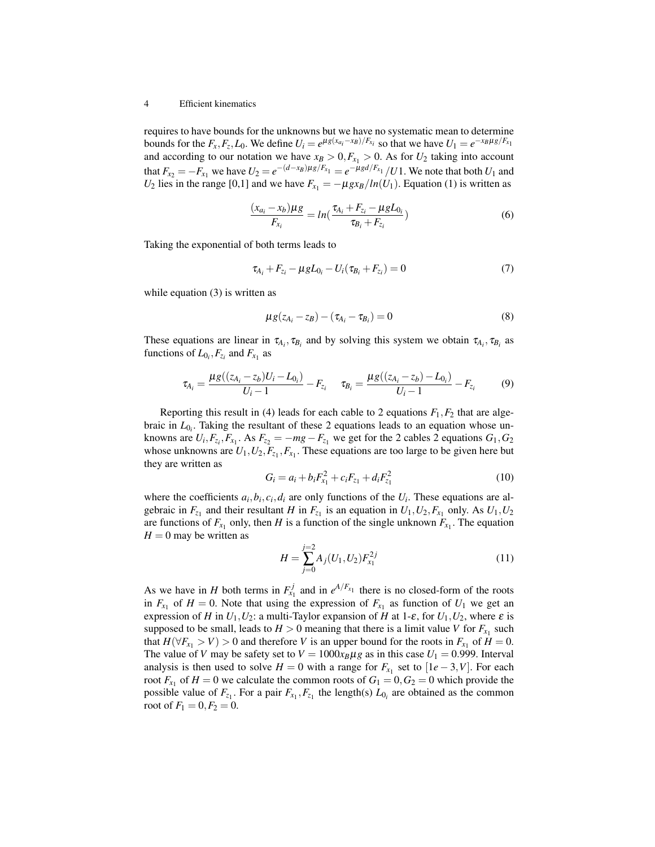#### 4 Efficient kinematics

requires to have bounds for the unknowns but we have no systematic mean to determine bounds for the  $F_x, F_z, L_0$ . We define  $U_i = e^{\mu g(x_{a_i} - x_B)/F_{x_i}}$  so that we have  $U_1 = e^{-x_B \mu g/F_{x_1}}$ and according to our notation we have  $x_B > 0, F_{x_1} > 0$ . As for  $U_2$  taking into account that  $F_{x_2} = -F_{x_1}$  we have  $U_2 = e^{-(d-x_B)\mu_g/F_{x_1}} = e^{-\mu_g d/F_{x_1}} / U1$ . We note that both  $U_1$  and *U*<sub>2</sub> lies in the range [0,1] and we have  $F_{x_1} = -\mu g x_B / ln(U_1)$ . Equation (1) is written as

$$
\frac{(x_{a_i} - x_b)\mu g}{F_{x_i}} = \ln(\frac{\tau_{A_i} + F_{z_i} - \mu g L_{0_i}}{\tau_{B_i} + F_{z_i}})
$$
(6)

Taking the exponential of both terms leads to

$$
\tau_{A_i} + F_{z_i} - \mu g L_{0_i} - U_i(\tau_{B_i} + F_{z_i}) = 0 \tag{7}
$$

while equation (3) is written as

$$
\mu g(z_{A_i} - z_B) - (\tau_{A_i} - \tau_{B_i}) = 0 \tag{8}
$$

These equations are linear in  $\tau_{A_i}$ ,  $\tau_{B_i}$  and by solving this system we obtain  $\tau_{A_i}$ ,  $\tau_{B_i}$  as functions of  $L_{0_i}$ ,  $F_{z_i}$  and  $F_{x_1}$  as

$$
\tau_{A_i} = \frac{\mu g((z_{A_i} - z_b)U_i - L_{0_i})}{U_i - 1} - F_{z_i} \quad \tau_{B_i} = \frac{\mu g((z_{A_i} - z_b) - L_{0_i})}{U_i - 1} - F_{z_i} \tag{9}
$$

Reporting this result in (4) leads for each cable to 2 equations  $F_1, F_2$  that are algebraic in  $L_{0<sub>i</sub>}$ . Taking the resultant of these 2 equations leads to an equation whose unknowns are  $U_i$ ,  $F_{z_i}$ ,  $F_{x_1}$ . As  $F_{z_2} = -mg - F_{z_1}$  we get for the 2 cables 2 equations  $G_1$ ,  $G_2$ whose unknowns are  $U_1, U_2, F_{z_1}, F_{x_1}$ . These equations are too large to be given here but they are written as

$$
G_i = a_i + b_i F_{x_1}^2 + c_i F_{z_1} + d_i F_{z_1}^2
$$
\n(10)

where the coefficients  $a_i, b_i, c_i, d_i$  are only functions of the  $U_i$ . These equations are algebraic in  $F_{z_1}$  and their resultant *H* in  $F_{z_1}$  is an equation in  $U_1, U_2, F_{x_1}$  only. As  $U_1, U_2$ are functions of  $F_{x_1}$  only, then *H* is a function of the single unknown  $F_{x_1}$ . The equation  $H = 0$  may be written as

$$
H = \sum_{j=0}^{j=2} A_j (U_1, U_2) F_{x_1}^{2j}
$$
 (11)

As we have in *H* both terms in  $F_{x_1}^j$  and in  $e^{A/F_{x_1}}$  there is no closed-form of the roots in  $F_{x_1}$  of  $H = 0$ . Note that using the expression of  $F_{x_1}$  as function of  $U_1$  we get an expression of *H* in  $U_1, U_2$ : a multi-Taylor expansion of *H* at 1- $\varepsilon$ , for  $U_1, U_2$ , where  $\varepsilon$  is supposed to be small, leads to  $H > 0$  meaning that there is a limit value *V* for  $F_{x_1}$  such that  $H(\forall F_{x_1} > V) > 0$  and therefore *V* is an upper bound for the roots in  $F_{x_1}$  of  $H = 0$ . The value of *V* may be safety set to  $V = 1000x_B\mu g$  as in this case  $U_1 = 0.999$ . Interval analysis is then used to solve  $H = 0$  with a range for  $F_{x_1}$  set to  $[1e-3, V]$ . For each root  $F_{x_1}$  of  $H = 0$  we calculate the common roots of  $G_1 = 0, G_2 = 0$  which provide the possible value of  $F_{z_1}$ . For a pair  $F_{x_1}, F_{z_1}$  the length(s)  $L_{0_i}$  are obtained as the common root of  $F_1 = 0, F_2 = 0$ .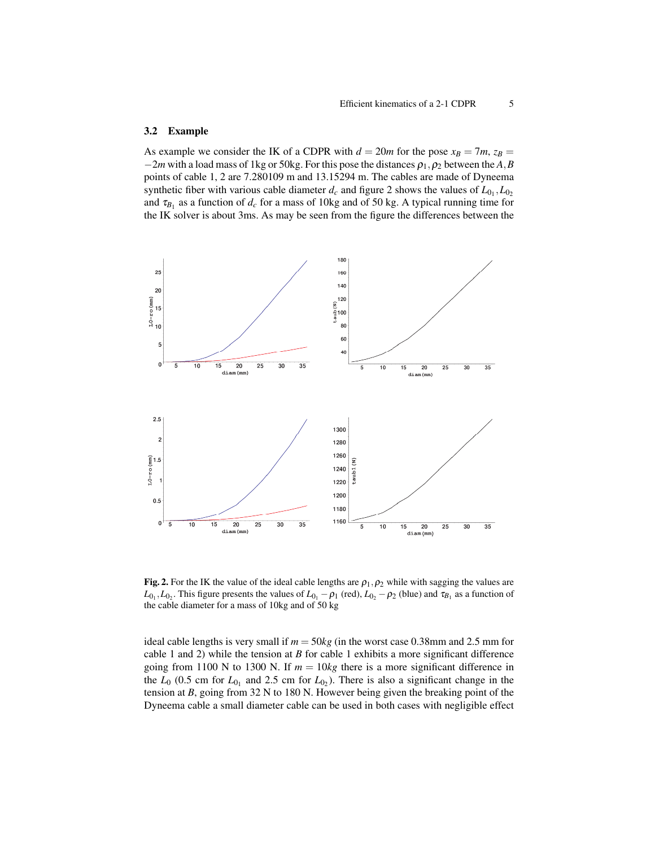#### 3.2 Example

As example we consider the IK of a CDPR with  $d = 20m$  for the pose  $x_B = 7m$ ,  $z_B =$  $-2m$  with a load mass of 1kg or 50kg. For this pose the distances  $\rho_1, \rho_2$  between the *A*,*B* points of cable 1, 2 are 7.280109 m and 13.15294 m. The cables are made of Dyneema synthetic fiber with various cable diameter  $d_c$  and figure 2 shows the values of  $L_{0_1}, L_{0_2}$ and  $\tau_{B_1}$  as a function of  $d_c$  for a mass of 10kg and of 50 kg. A typical running time for the IK solver is about 3ms. As may be seen from the figure the differences between the



Fig. 2. For the IK the value of the ideal cable lengths are  $\rho_1, \rho_2$  while with sagging the values are  $L_{0_1}, L_{0_2}$ . This figure presents the values of  $L_{0_1} - \rho_1$  (red),  $L_{0_2} - \rho_2$  (blue) and  $\tau_{B_1}$  as a function of the cable diameter for a mass of 10kg and of 50 kg

ideal cable lengths is very small if  $m = 50kg$  (in the worst case 0.38mm and 2.5 mm for cable 1 and 2) while the tension at *B* for cable 1 exhibits a more significant difference going from 1100 N to 1300 N. If  $m = 10kg$  there is a more significant difference in the  $L_0$  (0.5 cm for  $L_{0_1}$  and 2.5 cm for  $L_{0_2}$ ). There is also a significant change in the tension at *B*, going from 32 N to 180 N. However being given the breaking point of the Dyneema cable a small diameter cable can be used in both cases with negligible effect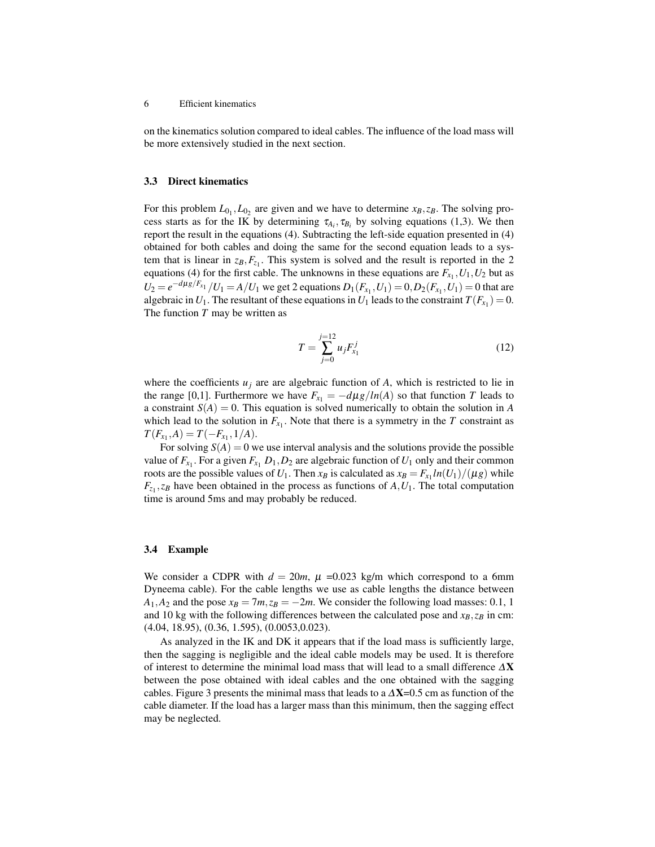on the kinematics solution compared to ideal cables. The influence of the load mass will be more extensively studied in the next section.

#### 3.3 Direct kinematics

For this problem  $L_{0_1}, L_{0_2}$  are given and we have to determine  $x_B, z_B$ . The solving process starts as for the IK by determining  $\tau_{A_i}, \tau_{B_i}$  by solving equations (1,3). We then report the result in the equations (4). Subtracting the left-side equation presented in (4) obtained for both cables and doing the same for the second equation leads to a system that is linear in  $z_B$ ,  $F_{z_1}$ . This system is solved and the result is reported in the 2 equations (4) for the first cable. The unknowns in these equations are  $F_{x_1}$ ,  $U_1$ ,  $U_2$  but as  $U_2 = e^{-d\mu g/F_{x_1}}/U_1 = A/U_1$  we get 2 equations  $D_1(F_{x_1}, U_1) = 0, D_2(F_{x_1}, U_1) = 0$  that are algebraic in  $U_1$ . The resultant of these equations in  $U_1$  leads to the constraint  $T(F_{x_1}) = 0$ . The function *T* may be written as

$$
T = \sum_{j=0}^{j=12} u_j F_{x_1}^j \tag{12}
$$

where the coefficients  $u_j$  are are algebraic function of  $A$ , which is restricted to lie in the range [0,1]. Furthermore we have  $F_{x_1} = -d\mu g / ln(A)$  so that function *T* leads to a constraint  $S(A) = 0$ . This equation is solved numerically to obtain the solution in *A* which lead to the solution in  $F_{x_1}$ . Note that there is a symmetry in the *T* constraint as  $T(F_{x_1}, A) = T(-F_{x_1}, 1/A).$ 

For solving  $S(A) = 0$  we use interval analysis and the solutions provide the possible value of  $F_{x_1}$ . For a given  $F_{x_1}$   $D_1$ ,  $D_2$  are algebraic function of  $U_1$  only and their common roots are the possible values of  $U_1$ . Then  $x_B$  is calculated as  $x_B = F_{x_1} ln(U_1) / (\mu g)$  while  $F_{z_1}, z_B$  have been obtained in the process as functions of  $A, U_1$ . The total computation time is around 5ms and may probably be reduced.

#### 3.4 Example

We consider a CDPR with  $d = 20m$ ,  $\mu = 0.023$  kg/m which correspond to a 6mm Dyneema cable). For the cable lengths we use as cable lengths the distance between  $A_1, A_2$  and the pose  $x_B = 7m$ ,  $z_B = -2m$ . We consider the following load masses: 0.1, 1 and 10 kg with the following differences between the calculated pose and  $x_B$ ,  $z_B$  in cm: (4.04, 18.95), (0.36, 1.595), (0.0053,0.023).

As analyzed in the IK and DK it appears that if the load mass is sufficiently large, then the sagging is negligible and the ideal cable models may be used. It is therefore of interest to determine the minimal load mass that will lead to a small difference ∆X between the pose obtained with ideal cables and the one obtained with the sagging cables. Figure 3 presents the minimal mass that leads to a  $\Delta X$ =0.5 cm as function of the cable diameter. If the load has a larger mass than this minimum, then the sagging effect may be neglected.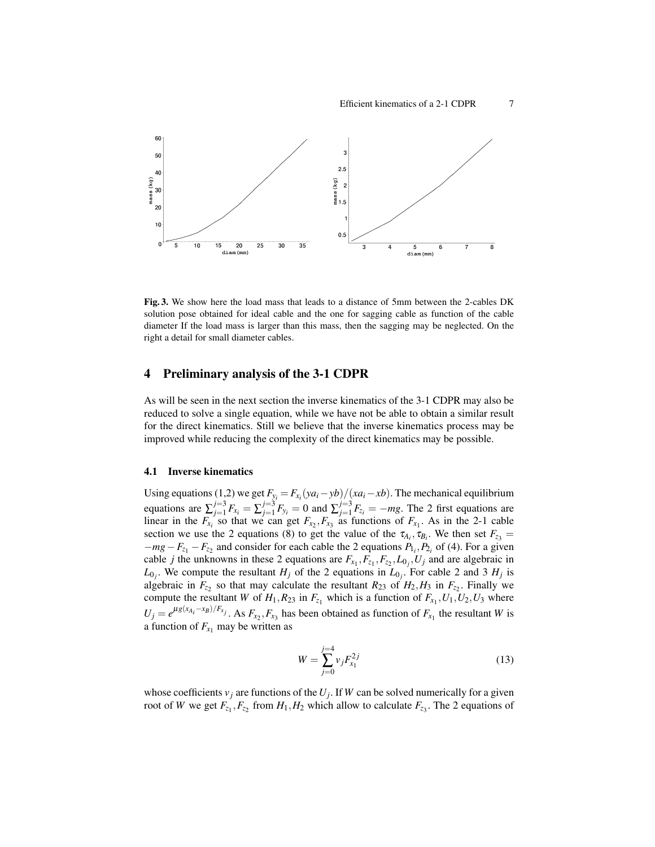

Fig. 3. We show here the load mass that leads to a distance of 5mm between the 2-cables DK solution pose obtained for ideal cable and the one for sagging cable as function of the cable diameter If the load mass is larger than this mass, then the sagging may be neglected. On the right a detail for small diameter cables.

# 4 Preliminary analysis of the 3-1 CDPR

As will be seen in the next section the inverse kinematics of the 3-1 CDPR may also be reduced to solve a single equation, while we have not be able to obtain a similar result for the direct kinematics. Still we believe that the inverse kinematics process may be improved while reducing the complexity of the direct kinematics may be possible.

#### 4.1 Inverse kinematics

Using equations (1,2) we get  $F_{y_i} = F_{x_i}(ya_i - yb)/(xa_i - xb)$ . The mechanical equilibrium equations are  $\sum_{j=1}^{j=3}$  $j=1 \atop j=1}^{j=3} F_{x_i} = \sum_{j=1}^{j=3}$  $j=3 \atop j=1} F_{y_i} = 0$  and  $\sum_{j=1}^{j=3}$  $J_{j=1}^{j=3} F_{z_i} = -mg$ . The 2 first equations are linear in the  $F_{x_i}$  so that we can get  $F_{x_2}, F_{x_3}$  as functions of  $F_{x_1}$ . As in the 2-1 cable section we use the 2 equations (8) to get the value of the  $\tau_{A_i}, \tau_{B_i}$ . We then set  $F_{z_3}$  =  $-mg-F_{z_1}-F_{z_2}$  and consider for each cable the 2 equations  $P_{1_i}, P_{2_i}$  of (4). For a given cable *j* the unknowns in these 2 equations are  $F_{x_1}, F_{z_1}, F_{z_2}, L_{0_j}, U_j$  and are algebraic in  $L_{0_j}$ . We compute the resultant *H<sub>j</sub>* of the 2 equations in  $L_{0_j}$ . For cable 2 and 3 *H<sub>j</sub>* is algebraic in  $F_{z_2}$  so that may calculate the resultant  $R_{23}$  of  $H_2, H_3$  in  $F_{z_2}$ . Finally we compute the resultant *W* of  $H_1, R_{23}$  in  $F_{z_1}$  which is a function of  $F_{x_1}, U_1, U_2, U_3$  where  $U_j = e^{\mu g(x_{A_i} - x_B)/F_{x_j}}$ . As  $F_{x_2}, F_{x_3}$  has been obtained as function of  $F_{x_1}$  the resultant *W* is a function of  $F_{x_1}$  may be written as

$$
W = \sum_{j=0}^{j=4} v_j F_{x_1}^{2j}
$$
 (13)

whose coefficients  $v_j$  are functions of the  $U_j$ . If W can be solved numerically for a given root of *W* we get  $F_{z_1}$ ,  $F_{z_2}$  from  $H_1$ ,  $H_2$  which allow to calculate  $F_{z_3}$ . The 2 equations of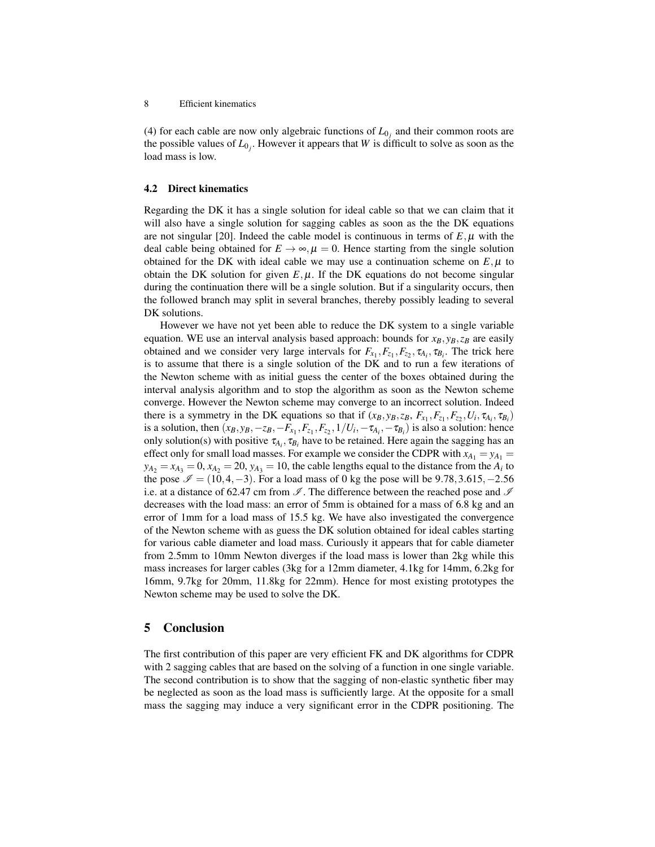(4) for each cable are now only algebraic functions of  $L_{0<sub>j</sub>}$  and their common roots are the possible values of  $L_{0_j}$ . However it appears that *W* is difficult to solve as soon as the load mass is low.

#### 4.2 Direct kinematics

Regarding the DK it has a single solution for ideal cable so that we can claim that it will also have a single solution for sagging cables as soon as the the DK equations are not singular [20]. Indeed the cable model is continuous in terms of  $E, \mu$  with the deal cable being obtained for  $E \to \infty$ ,  $\mu = 0$ . Hence starting from the single solution obtained for the DK with ideal cable we may use a continuation scheme on  $E, \mu$  to obtain the DK solution for given  $E, \mu$ . If the DK equations do not become singular during the continuation there will be a single solution. But if a singularity occurs, then the followed branch may split in several branches, thereby possibly leading to several DK solutions.

However we have not yet been able to reduce the DK system to a single variable equation. WE use an interval analysis based approach: bounds for  $x_B, y_B, z_B$  are easily obtained and we consider very large intervals for  $F_{x_1}, F_{z_1}, F_{z_2}, \tau_{A_i}, \tau_{B_i}$ . The trick here is to assume that there is a single solution of the DK and to run a few iterations of the Newton scheme with as initial guess the center of the boxes obtained during the interval analysis algorithm and to stop the algorithm as soon as the Newton scheme converge. However the Newton scheme may converge to an incorrect solution. Indeed there is a symmetry in the DK equations so that if  $(x_B, y_B, z_B, F_{x_1}, F_{z_1}, F_{z_2}, U_i, \tau_{A_i}, \tau_{B_i})$ is a solution, then  $(x_B, y_B, -z_B, -F_{x_1}, F_{z_1}, F_{z_2}, 1/U_i, -\tau_{A_i}, -\tau_{B_i})$  is also a solution: hence only solution(s) with positive  $\tau_{A_i}$ ,  $\tau_{B_i}$  have to be retained. Here again the sagging has an effect only for small load masses. For example we consider the CDPR with  $x_{A_1} = y_{A_1} =$  $y_{A_2} = x_{A_3} = 0$ ,  $x_{A_2} = 20$ ,  $y_{A_3} = 10$ , the cable lengths equal to the distance from the  $A_i$  to the pose  $\mathcal{I} = (10, 4, -3)$ . For a load mass of 0 kg the pose will be 9.78,3.615, -2.56 i.e. at a distance of 62.47 cm from  $\mathcal{I}$ . The difference between the reached pose and  $\mathcal{I}$ decreases with the load mass: an error of 5mm is obtained for a mass of 6.8 kg and an error of 1mm for a load mass of 15.5 kg. We have also investigated the convergence of the Newton scheme with as guess the DK solution obtained for ideal cables starting for various cable diameter and load mass. Curiously it appears that for cable diameter from 2.5mm to 10mm Newton diverges if the load mass is lower than 2kg while this mass increases for larger cables (3kg for a 12mm diameter, 4.1kg for 14mm, 6.2kg for 16mm, 9.7kg for 20mm, 11.8kg for 22mm). Hence for most existing prototypes the Newton scheme may be used to solve the DK.

### 5 Conclusion

The first contribution of this paper are very efficient FK and DK algorithms for CDPR with 2 sagging cables that are based on the solving of a function in one single variable. The second contribution is to show that the sagging of non-elastic synthetic fiber may be neglected as soon as the load mass is sufficiently large. At the opposite for a small mass the sagging may induce a very significant error in the CDPR positioning. The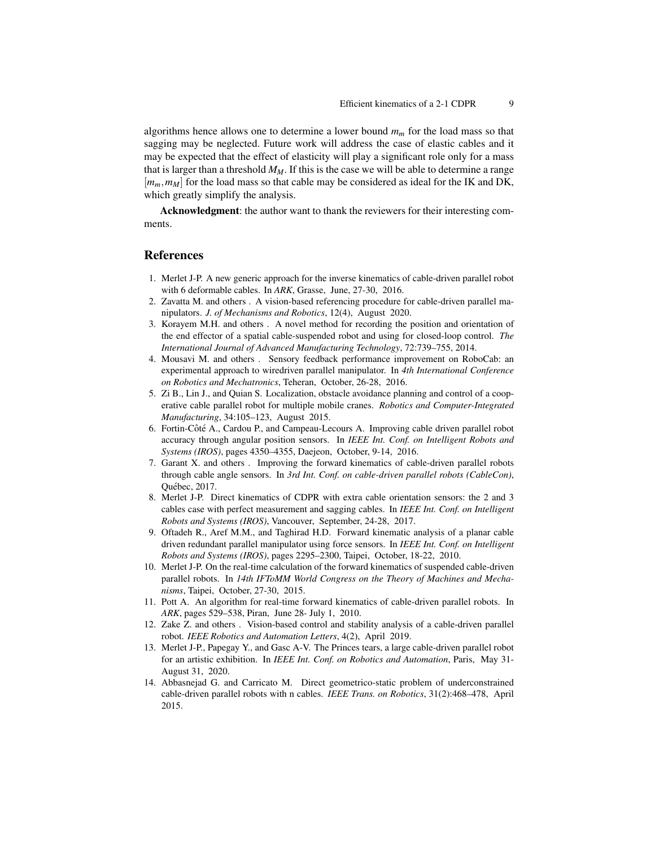algorithms hence allows one to determine a lower bound *m<sup>m</sup>* for the load mass so that sagging may be neglected. Future work will address the case of elastic cables and it may be expected that the effect of elasticity will play a significant role only for a mass that is larger than a threshold  $M_M$ . If this is the case we will be able to determine a range [ $m_m$ ,  $m_M$ ] for the load mass so that cable may be considered as ideal for the IK and DK, which greatly simplify the analysis.

Acknowledgment: the author want to thank the reviewers for their interesting comments.

### References

- 1. Merlet J-P. A new generic approach for the inverse kinematics of cable-driven parallel robot with 6 deformable cables. In *ARK*, Grasse, June, 27-30, 2016.
- 2. Zavatta M. and others . A vision-based referencing procedure for cable-driven parallel manipulators. *J. of Mechanisms and Robotics*, 12(4), August 2020.
- 3. Korayem M.H. and others . A novel method for recording the position and orientation of the end effector of a spatial cable-suspended robot and using for closed-loop control. *The International Journal of Advanced Manufacturing Technology*, 72:739–755, 2014.
- 4. Mousavi M. and others . Sensory feedback performance improvement on RoboCab: an experimental approach to wiredriven parallel manipulator. In *4th International Conference on Robotics and Mechatronics*, Teheran, October, 26-28, 2016.
- 5. Zi B., Lin J., and Quian S. Localization, obstacle avoidance planning and control of a cooperative cable parallel robot for multiple mobile cranes. *Robotics and Computer-Integrated Manufacturing*, 34:105–123, August 2015.
- 6. Fortin-Côté A., Cardou P., and Campeau-Lecours A. Improving cable driven parallel robot accuracy through angular position sensors. In *IEEE Int. Conf. on Intelligent Robots and Systems (IROS)*, pages 4350–4355, Daejeon, October, 9-14, 2016.
- 7. Garant X. and others . Improving the forward kinematics of cable-driven parallel robots through cable angle sensors. In *3rd Int. Conf. on cable-driven parallel robots (CableCon)*, Québec, 2017
- 8. Merlet J-P. Direct kinematics of CDPR with extra cable orientation sensors: the 2 and 3 cables case with perfect measurement and sagging cables. In *IEEE Int. Conf. on Intelligent Robots and Systems (IROS)*, Vancouver, September, 24-28, 2017.
- 9. Oftadeh R., Aref M.M., and Taghirad H.D. Forward kinematic analysis of a planar cable driven redundant parallel manipulator using force sensors. In *IEEE Int. Conf. on Intelligent Robots and Systems (IROS)*, pages 2295–2300, Taipei, October, 18-22, 2010.
- 10. Merlet J-P. On the real-time calculation of the forward kinematics of suspended cable-driven parallel robots. In *14th IFToMM World Congress on the Theory of Machines and Mechanisms*, Taipei, October, 27-30, 2015.
- 11. Pott A. An algorithm for real-time forward kinematics of cable-driven parallel robots. In *ARK*, pages 529–538, Piran, June 28- July 1, 2010.
- 12. Zake Z. and others . Vision-based control and stability analysis of a cable-driven parallel robot. *IEEE Robotics and Automation Letters*, 4(2), April 2019.
- 13. Merlet J-P., Papegay Y., and Gasc A-V. The Princes tears, a large cable-driven parallel robot for an artistic exhibition. In *IEEE Int. Conf. on Robotics and Automation*, Paris, May 31- August 31, 2020.
- 14. Abbasnejad G. and Carricato M. Direct geometrico-static problem of underconstrained cable-driven parallel robots with n cables. *IEEE Trans. on Robotics*, 31(2):468–478, April 2015.